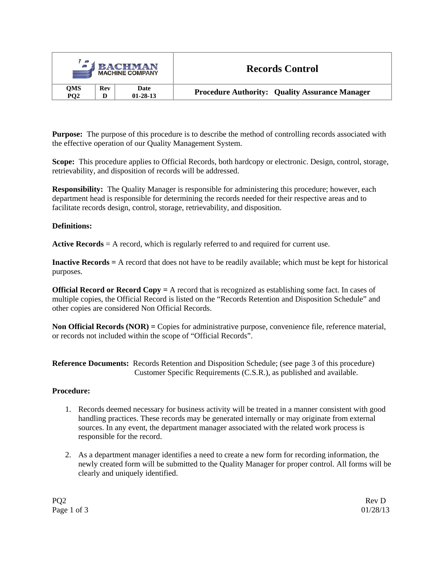| $\mathcal{L}_{\mathbf{a}}$<br><b>J BACHMAN</b><br><b>MACHINE COMPANY</b> |                               |                 |                        | <b>Records Control</b>                                |  |
|--------------------------------------------------------------------------|-------------------------------|-----------------|------------------------|-------------------------------------------------------|--|
|                                                                          | <b>QMS</b><br>PO <sub>2</sub> | <b>Rev</b><br>D | Date<br>$01 - 28 - 13$ | <b>Procedure Authority: Quality Assurance Manager</b> |  |

**Purpose:** The purpose of this procedure is to describe the method of controlling records associated with the effective operation of our Quality Management System.

**Scope:** This procedure applies to Official Records, both hardcopy or electronic. Design, control, storage, retrievability, and disposition of records will be addressed.

**Responsibility:** The Quality Manager is responsible for administering this procedure; however, each department head is responsible for determining the records needed for their respective areas and to facilitate records design, control, storage, retrievability, and disposition.

## **Definitions:**

**Active Records** = A record, which is regularly referred to and required for current use.

**Inactive Records =** A record that does not have to be readily available; which must be kept for historical purposes.

**Official Record or Record Copy =** A record that is recognized as establishing some fact. In cases of multiple copies, the Official Record is listed on the "Records Retention and Disposition Schedule" and other copies are considered Non Official Records.

**Non Official Records (NOR) =** Copies for administrative purpose, convenience file, reference material, or records not included within the scope of "Official Records".

**Reference Documents:** Records Retention and Disposition Schedule; (see page 3 of this procedure) Customer Specific Requirements (C.S.R.), as published and available.

## **Procedure:**

- 1. Records deemed necessary for business activity will be treated in a manner consistent with good handling practices. These records may be generated internally or may originate from external sources. In any event, the department manager associated with the related work process is responsible for the record.
- 2. As a department manager identifies a need to create a new form for recording information, the newly created form will be submitted to the Quality Manager for proper control. All forms will be clearly and uniquely identified.

PQ2 Rev D Page 1 of 3 01/28/13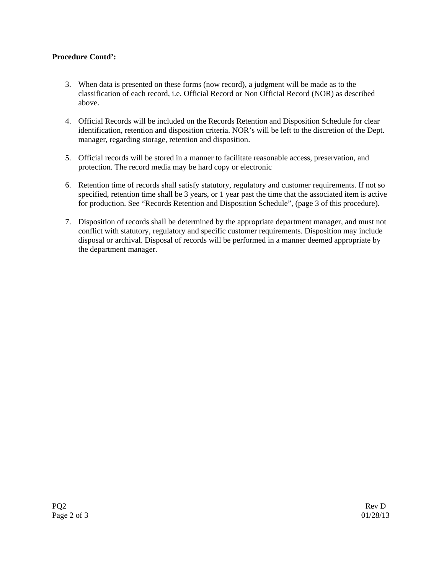## **Procedure Contd':**

- 3. When data is presented on these forms (now record), a judgment will be made as to the classification of each record, i.e. Official Record or Non Official Record (NOR) as described above.
- 4. Official Records will be included on the Records Retention and Disposition Schedule for clear identification, retention and disposition criteria. NOR's will be left to the discretion of the Dept. manager, regarding storage, retention and disposition.
- 5. Official records will be stored in a manner to facilitate reasonable access, preservation, and protection. The record media may be hard copy or electronic
- 6. Retention time of records shall satisfy statutory, regulatory and customer requirements. If not so specified, retention time shall be 3 years, or 1 year past the time that the associated item is active for production. See "Records Retention and Disposition Schedule", (page 3 of this procedure).
- 7. Disposition of records shall be determined by the appropriate department manager, and must not conflict with statutory, regulatory and specific customer requirements. Disposition may include disposal or archival. Disposal of records will be performed in a manner deemed appropriate by the department manager.